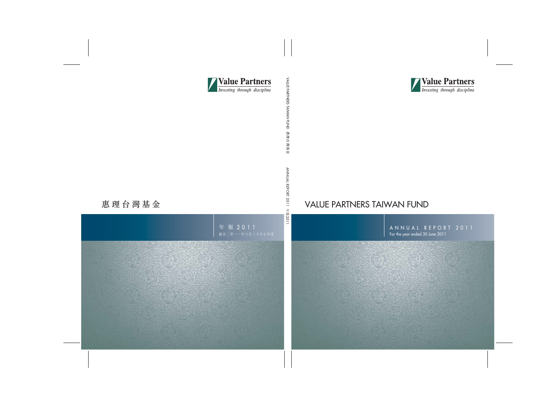

# VALUE PARTNERS TAIWAN FUND

ANNUAL REPORT 2011 For the year ended 30 June 2011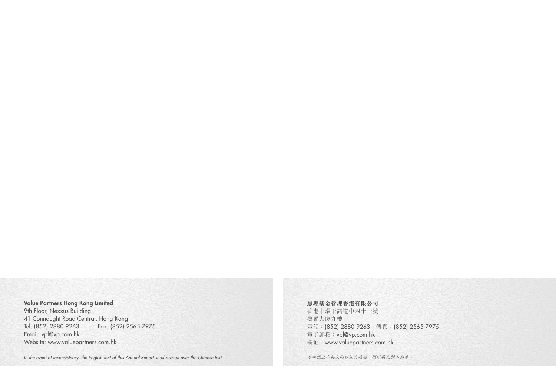## Value Partners Hong Kong Limited

9th Floor, Nexxus Building 41 Connaught Road Central, Hong Kong Tel: (852) 2880 9263 Fax: (852) 2565 7975 Email: vpl@vp.com.hk Website: www.valuepartners.com.hk

*In the event of inconsistency, the English text of this Annual Report shall prevail over the Chinese text.*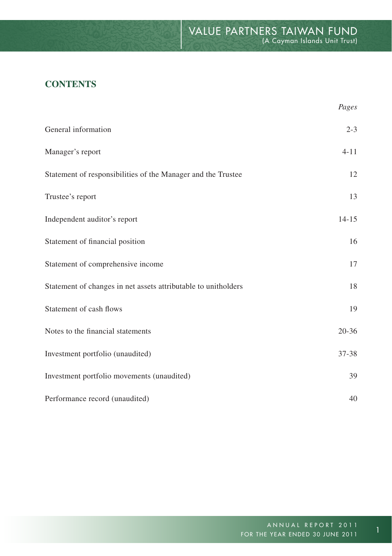# **CONTENTS**

|                                                                | Pages     |
|----------------------------------------------------------------|-----------|
| General information                                            | $2 - 3$   |
| Manager's report                                               | $4 - 11$  |
| Statement of responsibilities of the Manager and the Trustee   | 12        |
| Trustee's report                                               | 13        |
| Independent auditor's report                                   | $14 - 15$ |
| Statement of financial position                                | 16        |
| Statement of comprehensive income                              | 17        |
| Statement of changes in net assets attributable to unitholders | 18        |
| Statement of cash flows                                        | 19        |
| Notes to the financial statements                              | $20 - 36$ |
| Investment portfolio (unaudited)                               | $37 - 38$ |
| Investment portfolio movements (unaudited)                     | 39        |
| Performance record (unaudited)                                 | 40        |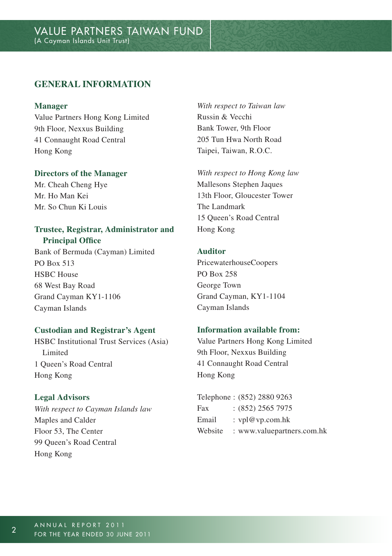## **GENERAL INFORMATION**

#### **Manager**

Value Partners Hong Kong Limited 9th Floor, Nexxus Building 41 Connaught Road Central Hong Kong

#### **Directors of the Manager**

Mr. Cheah Cheng Hye Mr. Ho Man Kei Mr. So Chun Ki Louis

#### **Trustee, Registrar, Administrator and Principal Office**

Bank of Bermuda (Cayman) Limited PO Box 513 HSBC House 68 West Bay Road Grand Cayman KY1-1106 Cayman Islands

#### **Custodian and Registrar's Agent**

HSBC Institutional Trust Services (Asia) Limited 1 Queen's Road Central Hong Kong

#### **Legal Advisors**

*With respect to Cayman Islands law* Maples and Calder Floor 53, The Center 99 Queen's Road Central Hong Kong

*With respect to Taiwan law* Russin & Vecchi Bank Tower, 9th Floor 205 Tun Hwa North Road Taipei, Taiwan, R.O.C.

*With respect to Hong Kong law* Mallesons Stephen Jaques 13th Floor, Gloucester Tower The Landmark 15 Queen's Road Central Hong Kong

#### **Auditor**

PricewaterhouseCoopers PO Box 258 George Town Grand Cayman, KY1-1104 Cayman Islands

## **Information available from:**

Value Partners Hong Kong Limited 9th Floor, Nexxus Building 41 Connaught Road Central Hong Kong

|         | Telephone: (852) 2880 9263 |
|---------|----------------------------|
| Fax     | $:(852)$ 2565 7975         |
| Email   | : $vpl@vp.com.hk$          |
| Website | : www.valuepartners.com.hk |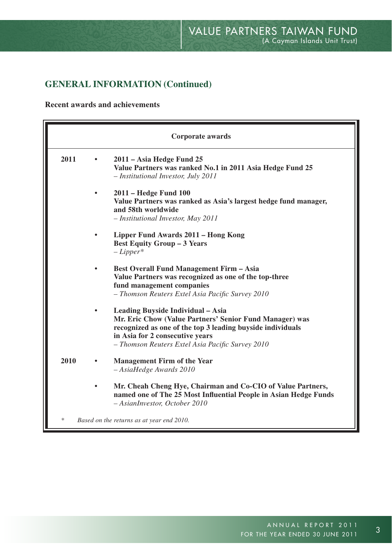# **GENERAL INFORMATION (Continued)**

**Recent awards and achievements**

|      | Corporate awards                                                                                                                                                                                                                                  |
|------|---------------------------------------------------------------------------------------------------------------------------------------------------------------------------------------------------------------------------------------------------|
| 2011 | 2011 - Asia Hedge Fund 25<br>Value Partners was ranked No.1 in 2011 Asia Hedge Fund 25<br>- Institutional Investor, July 2011                                                                                                                     |
|      | 2011 – Hedge Fund 100<br>Value Partners was ranked as Asia's largest hedge fund manager,<br>and 58th worldwide<br>- Institutional Investor, May 2011                                                                                              |
|      | Lipper Fund Awards 2011 – Hong Kong<br><b>Best Equity Group - 3 Years</b><br>$-Lipper^*$                                                                                                                                                          |
|      | <b>Best Overall Fund Management Firm - Asia</b><br>Value Partners was recognized as one of the top-three<br>fund management companies<br>- Thomson Reuters Extel Asia Pacific Survey 2010                                                         |
|      | Leading Buyside Individual – Asia<br>Mr. Eric Chow (Value Partners' Senior Fund Manager) was<br>recognized as one of the top 3 leading buyside individuals<br>in Asia for 2 consecutive years<br>- Thomson Reuters Extel Asia Pacific Survey 2010 |
| 2010 | <b>Management Firm of the Year</b><br>- AsiaHedge Awards 2010                                                                                                                                                                                     |
|      | Mr. Cheah Cheng Hye, Chairman and Co-CIO of Value Partners,<br>named one of The 25 Most Influential People in Asian Hedge Funds<br>- AsianInvestor, October 2010                                                                                  |
| *    | Based on the returns as at year end 2010.                                                                                                                                                                                                         |

 $\overline{3}$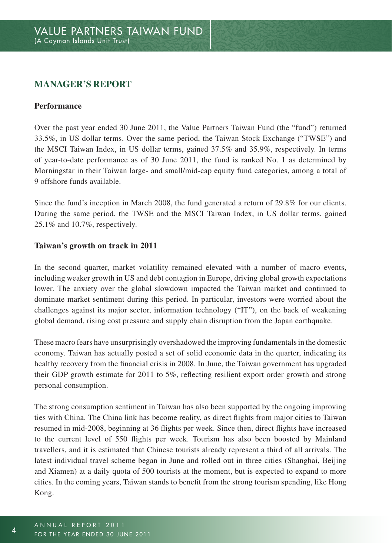## **Manager's Report**

#### **Performance**

Over the past year ended 30 June 2011, the Value Partners Taiwan Fund (the "fund") returned 33.5%, in US dollar terms. Over the same period, the Taiwan Stock Exchange ("TWSE") and the MSCI Taiwan Index, in US dollar terms, gained 37.5% and 35.9%, respectively. In terms of year-to-date performance as of 30 June 2011, the fund is ranked No. 1 as determined by Morningstar in their Taiwan large- and small/mid-cap equity fund categories, among a total of 9 offshore funds available.

Since the fund's inception in March 2008, the fund generated a return of 29.8% for our clients. During the same period, the TWSE and the MSCI Taiwan Index, in US dollar terms, gained 25.1% and 10.7%, respectively.

#### **Taiwan's growth on track in 2011**

In the second quarter, market volatility remained elevated with a number of macro events, including weaker growth in US and debt contagion in Europe, driving global growth expectations lower. The anxiety over the global slowdown impacted the Taiwan market and continued to dominate market sentiment during this period. In particular, investors were worried about the challenges against its major sector, information technology ("IT"), on the back of weakening global demand, rising cost pressure and supply chain disruption from the Japan earthquake.

These macro fears have unsurprisingly overshadowed the improving fundamentals in the domestic economy. Taiwan has actually posted a set of solid economic data in the quarter, indicating its healthy recovery from the financial crisis in 2008. In June, the Taiwan government has upgraded their GDP growth estimate for 2011 to 5%, reflecting resilient export order growth and strong personal consumption.

The strong consumption sentiment in Taiwan has also been supported by the ongoing improving ties with China. The China link has become reality, as direct flights from major cities to Taiwan resumed in mid-2008, beginning at 36 flights per week. Since then, direct flights have increased to the current level of 550 flights per week. Tourism has also been boosted by Mainland travellers, and it is estimated that Chinese tourists already represent a third of all arrivals. The latest individual travel scheme began in June and rolled out in three cities (Shanghai, Beijing and Xiamen) at a daily quota of 500 tourists at the moment, but is expected to expand to more cities. In the coming years, Taiwan stands to benefit from the strong tourism spending, like Hong Kong.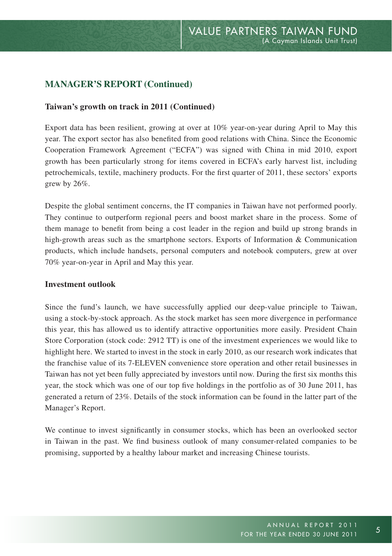#### **Taiwan's growth on track in 2011 (Continued)**

Export data has been resilient, growing at over at 10% year-on-year during April to May this year. The export sector has also benefited from good relations with China. Since the Economic Cooperation Framework Agreement ("ECFA") was signed with China in mid 2010, export growth has been particularly strong for items covered in ECFA's early harvest list, including petrochemicals, textile, machinery products. For the first quarter of 2011, these sectors' exports grew by 26%.

Despite the global sentiment concerns, the IT companies in Taiwan have not performed poorly. They continue to outperform regional peers and boost market share in the process. Some of them manage to benefit from being a cost leader in the region and build up strong brands in high-growth areas such as the smartphone sectors. Exports of Information & Communication products, which include handsets, personal computers and notebook computers, grew at over 70% year-on-year in April and May this year.

#### **Investment outlook**

Since the fund's launch, we have successfully applied our deep-value principle to Taiwan, using a stock-by-stock approach. As the stock market has seen more divergence in performance this year, this has allowed us to identify attractive opportunities more easily. President Chain Store Corporation (stock code: 2912 TT) is one of the investment experiences we would like to highlight here. We started to invest in the stock in early 2010, as our research work indicates that the franchise value of its 7-ELEVEN convenience store operation and other retail businesses in Taiwan has not yet been fully appreciated by investors until now. During the first six months this year, the stock which was one of our top five holdings in the portfolio as of 30 June 2011, has generated a return of 23%. Details of the stock information can be found in the latter part of the Manager's Report.

We continue to invest significantly in consumer stocks, which has been an overlooked sector in Taiwan in the past. We find business outlook of many consumer-related companies to be promising, supported by a healthy labour market and increasing Chinese tourists.

5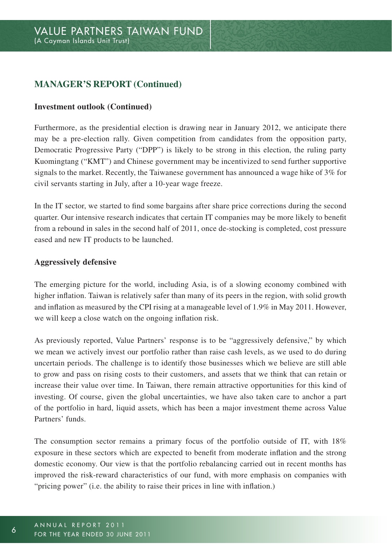#### **Investment outlook (Continued)**

Furthermore, as the presidential election is drawing near in January 2012, we anticipate there may be a pre-election rally. Given competition from candidates from the opposition party, Democratic Progressive Party ("DPP") is likely to be strong in this election, the ruling party Kuomingtang ("KMT") and Chinese government may be incentivized to send further supportive signals to the market. Recently, the Taiwanese government has announced a wage hike of 3% for civil servants starting in July, after a 10-year wage freeze.

In the IT sector, we started to find some bargains after share price corrections during the second quarter. Our intensive research indicates that certain IT companies may be more likely to benefit from a rebound in sales in the second half of 2011, once de-stocking is completed, cost pressure eased and new IT products to be launched.

#### **Aggressively defensive**

The emerging picture for the world, including Asia, is of a slowing economy combined with higher inflation. Taiwan is relatively safer than many of its peers in the region, with solid growth and inflation as measured by the CPI rising at a manageable level of 1.9% in May 2011. However, we will keep a close watch on the ongoing inflation risk.

As previously reported, Value Partners' response is to be "aggressively defensive," by which we mean we actively invest our portfolio rather than raise cash levels, as we used to do during uncertain periods. The challenge is to identify those businesses which we believe are still able to grow and pass on rising costs to their customers, and assets that we think that can retain or increase their value over time. In Taiwan, there remain attractive opportunities for this kind of investing. Of course, given the global uncertainties, we have also taken care to anchor a part of the portfolio in hard, liquid assets, which has been a major investment theme across Value Partners' funds.

The consumption sector remains a primary focus of the portfolio outside of IT, with 18% exposure in these sectors which are expected to benefit from moderate inflation and the strong domestic economy. Our view is that the portfolio rebalancing carried out in recent months has improved the risk-reward characteristics of our fund, with more emphasis on companies with "pricing power" (i.e. the ability to raise their prices in line with inflation.)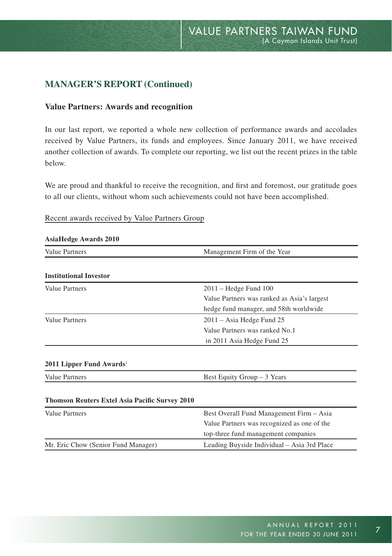#### **Value Partners: Awards and recognition**

In our last report, we reported a whole new collection of performance awards and accolades received by Value Partners, its funds and employees. Since January 2011, we have received another collection of awards. To complete our reporting, we list out the recent prizes in the table below.

We are proud and thankful to receive the recognition, and first and foremost, our gratitude goes to all our clients, without whom such achievements could not have been accomplished.

#### Recent awards received by Value Partners Group

| <b>AsiaHedge Awards 2010</b>                   |                                             |
|------------------------------------------------|---------------------------------------------|
| Value Partners                                 | Management Firm of the Year                 |
| <b>Institutional Investor</b>                  |                                             |
| Value Partners                                 | $2011$ – Hedge Fund $100$                   |
|                                                | Value Partners was ranked as Asia's largest |
|                                                | hedge fund manager, and 58th worldwide      |
| Value Partners                                 | 2011 – Asia Hedge Fund 25                   |
|                                                | Value Partners was ranked No.1              |
|                                                | in 2011 Asia Hedge Fund 25                  |
|                                                |                                             |
| $2011$ Lipper Fund Awards <sup>1</sup>         |                                             |
| Value Partners                                 | Best Equity Group - 3 Years                 |
|                                                |                                             |
|                                                |                                             |
| Thomson Reuters Extel Asia Pacific Survey 2010 |                                             |
| Value Partners                                 | Best Overall Fund Management Firm - Asia    |
|                                                | Value Partners was recognized as one of the |
|                                                | top-three fund management companies         |

#### ANNUAL REPORT 2011 FOR THE YEAR ENDED 30 JUNE 2011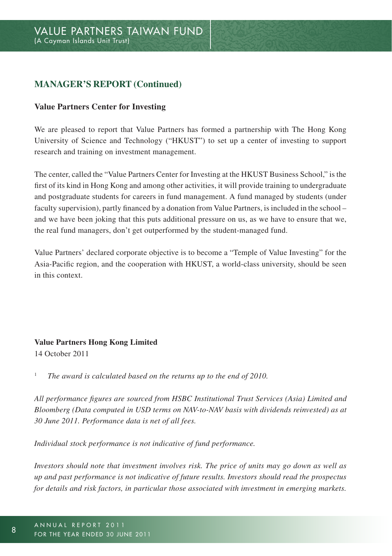#### **Value Partners Center for Investing**

We are pleased to report that Value Partners has formed a partnership with The Hong Kong University of Science and Technology ("HKUST") to set up a center of investing to support research and training on investment management.

The center, called the "Value Partners Center for Investing at the HKUST Business School," is the first of its kind in Hong Kong and among other activities, it will provide training to undergraduate and postgraduate students for careers in fund management. A fund managed by students (under faculty supervision), partly financed by a donation from Value Partners, is included in the school – and we have been joking that this puts additional pressure on us, as we have to ensure that we, the real fund managers, don't get outperformed by the student-managed fund.

Value Partners' declared corporate objective is to become a "Temple of Value Investing" for the Asia-Pacific region, and the cooperation with HKUST, a world-class university, should be seen in this context.

#### **Value Partners Hong Kong Limited**

14 October 2011

1  *The award is calculated based on the returns up to the end of 2010.*

*All performance figures are sourced from HSBC Institutional Trust Services (Asia) Limited and Bloomberg (Data computed in USD terms on NAV-to-NAV basis with dividends reinvested) as at 30 June 2011. Performance data is net of all fees.*

*Individual stock performance is not indicative of fund performance.*

*Investors should note that investment involves risk. The price of units may go down as well as up and past performance is not indicative of future results. Investors should read the prospectus for details and risk factors, in particular those associated with investment in emerging markets.*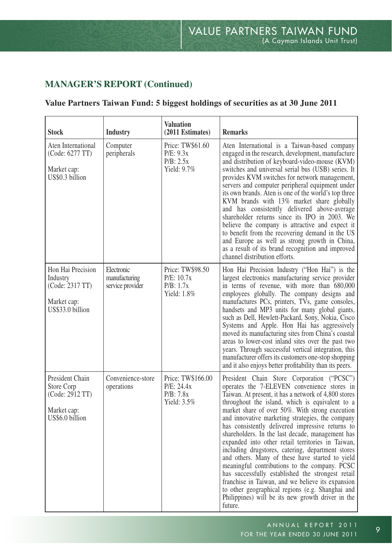## **Value Partners Taiwan Fund: 5 biggest holdings of securities as at 30 June 2011**

| Stock                                                                               | Industry                                        | <b>Valuation</b><br>(2011 Estimates)                           | <b>Remarks</b>                                                                                                                                                                                                                                                                                                                                                                                                                                                                                                                                                                                                                                                                                                                                                                                                                                                  |
|-------------------------------------------------------------------------------------|-------------------------------------------------|----------------------------------------------------------------|-----------------------------------------------------------------------------------------------------------------------------------------------------------------------------------------------------------------------------------------------------------------------------------------------------------------------------------------------------------------------------------------------------------------------------------------------------------------------------------------------------------------------------------------------------------------------------------------------------------------------------------------------------------------------------------------------------------------------------------------------------------------------------------------------------------------------------------------------------------------|
| Aten International<br>(Code: 6277 TT)<br>Market cap:<br>US\$0.3 billion             | Computer<br>peripherals                         | Price: TW\$61.60<br>P/E: 9.3x<br>P/B: 2.5x<br>Yield: 9.7%      | Aten International is a Taiwan-based company<br>engaged in the research, development, manufacture<br>and distribution of keyboard-video-mouse (KVM)<br>switches and universal serial bus (USB) series. It<br>provides KVM switches for network management,<br>servers and computer peripheral equipment under<br>its own brands. Aten is one of the world's top three<br>KVM brands with 13% market share globally<br>and has consistently delivered above-average<br>shareholder returns since its IPO in 2003. We<br>believe the company is attractive and expect it<br>to benefit from the recovering demand in the US<br>and Europe as well as strong growth in China,<br>as a result of its brand recognition and improved<br>channel distribution efforts.                                                                                                |
| Hon Hai Precision<br>Industry<br>(Code: 2317 TT)<br>Market cap:<br>US\$33.0 billion | Electronic<br>manufacturing<br>service provider | Price: TW\$98.50<br>P/E: 10.7x<br>P/B: 1.7x<br>Yield: 1.8%     | Hon Hai Precision Industry ("Hon Hai") is the<br>largest electronics manufacturing service provider<br>in terms of revenue, with more than 680,000<br>employees globally. The company designs and<br>manufactures PCs, printers, TVs, game consoles,<br>handsets and MP3 units for many global giants,<br>such as Dell, Hewlett-Packard, Sony, Nokia, Cisco<br>Systems and Apple. Hon Hai has aggressively<br>moved its manufacturing sites from China's coastal<br>areas to lower-cost inland sites over the past two<br>years. Through successful vertical integration, this<br>manufacturer offers its customers one-stop shopping<br>and it also enjoys better profitability than its peers.                                                                                                                                                                |
| President Chain<br>Store Corp<br>(Code: 2912 TT)<br>Market cap:<br>US\$6.0 billion  | Convenience-store<br>operations                 | Price: TW\$166.00<br>P/E: 24.4x<br>P/B: 7.8x<br>Yield: $3.5\%$ | President Chain Store Corporation ("PCSC")<br>operates the 7-ELEVEN convenience stores in<br>Taiwan. At present, it has a network of 4,800 stores<br>throughout the island, which is equivalent to a<br>market share of over 50%. With strong execution<br>and innovative marketing strategies, the company<br>has consistently delivered impressive returns to<br>shareholders. In the last decade, management has<br>expanded into other retail territories in Taiwan,<br>including drugstores, catering, department stores<br>and others. Many of these have started to yield<br>meaningful contributions to the company. PCSC<br>has successfully established the strongest retail<br>franchise in Taiwan, and we believe its expansion<br>to other geographical regions (e.g. Shanghai and<br>Philippines) will be its new growth driver in the<br>future. |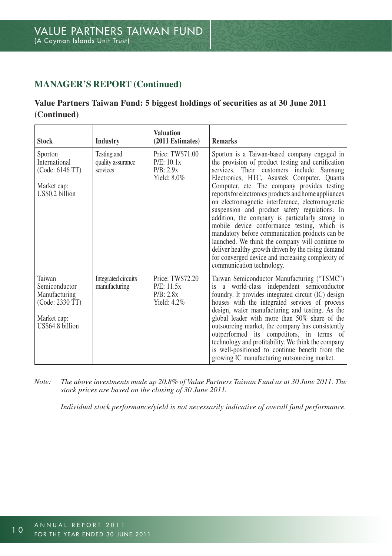## **Value Partners Taiwan Fund: 5 biggest holdings of securities as at 30 June 2011 (Continued)**

| <b>Stock</b>                                                                                   | <b>Industry</b>                              | <b>Valuation</b><br>(2011 Estimates)                          | <b>Remarks</b>                                                                                                                                                                                                                                                                                                                                                                                                                                                                                                                                                                                                                                                                                                                                           |
|------------------------------------------------------------------------------------------------|----------------------------------------------|---------------------------------------------------------------|----------------------------------------------------------------------------------------------------------------------------------------------------------------------------------------------------------------------------------------------------------------------------------------------------------------------------------------------------------------------------------------------------------------------------------------------------------------------------------------------------------------------------------------------------------------------------------------------------------------------------------------------------------------------------------------------------------------------------------------------------------|
| Sporton<br>International<br>(Code: 6146 TT)<br>Market cap:<br>US\$0.2 billion                  | Testing and<br>quality assurance<br>services | Price: TW\$71.00<br>P/E: 10.1x<br>P/B: 2.9x<br>Yield: $8.0\%$ | Sporton is a Taiwan-based company engaged in<br>the provision of product testing and certification<br>services. Their customers include Samsung<br>Electronics, HTC, Asustek Computer, Quanta<br>Computer, etc. The company provides testing<br>reports for electronics products and home appliances<br>on electromagnetic interference, electromagnetic<br>suspension and product safety regulations. In<br>addition, the company is particularly strong in<br>mobile device conformance testing, which is<br>mandatory before communication products can be<br>launched. We think the company will continue to<br>deliver healthy growth driven by the rising demand<br>for converged device and increasing complexity of<br>communication technology. |
| Taiwan<br>Semiconductor<br>Manufacturing<br>(Code: 2330 TT)<br>Market cap:<br>US\$64.8 billion | Integrated circuits<br>manufacturing         | Price: TW\$72.20<br>P/E: 11.5x<br>P/B: 2.8x<br>Yield: $4.2\%$ | Taiwan Semiconductor Manufacturing ("TSMC")<br>is a world-class independent semiconductor<br>foundry. It provides integrated circuit (IC) design<br>houses with the integrated services of process<br>design, wafer manufacturing and testing. As the<br>global leader with more than 50% share of the<br>outsourcing market, the company has consistently<br>outperformed its competitors, in terms of<br>technology and profitability. We think the company<br>is well-positioned to continue benefit from the<br>growing IC manufacturing outsourcing market.                                                                                                                                                                                         |

*Note: The above investments made up 20.8% of Value Partners Taiwan Fund as at 30 June 2011. The stock prices are based on the closing of 30 June 2011.*

 *Individual stock performance/yield is not necessarily indicative of overall fund performance.*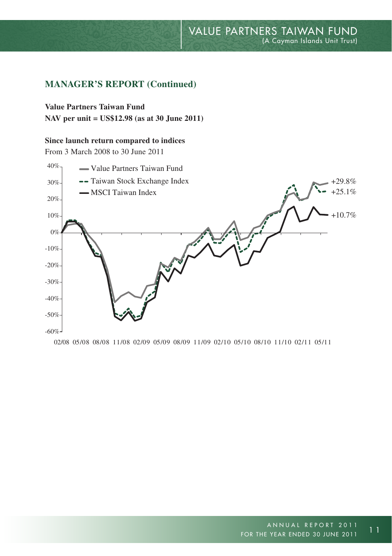## **Manager's report (Continued)**

## **Value Partners Taiwan Fund**

**NAV per unit = US\$12.98 (as at 30 June 2011)**

#### **Since launch return compared to indices**

From 3 March 2008 to 30 June 2011



02/08 05/08 08/08 11/08 02/09 05/09 08/09 11/09 02/10 05/10 08/10 11/10 02/11 05/11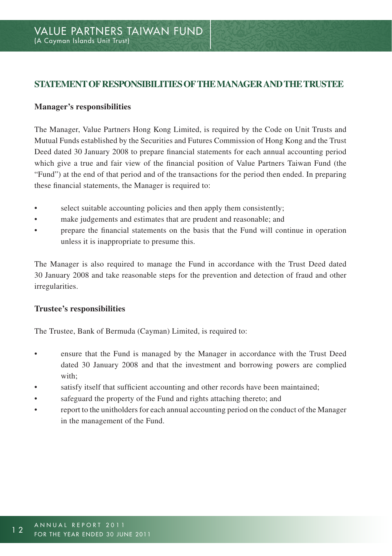## **STATEMENT OF RESPONSIBILITIES OF THE MANAGER AND THE TRUSTEE**

#### **Manager's responsibilities**

The Manager, Value Partners Hong Kong Limited, is required by the Code on Unit Trusts and Mutual Funds established by the Securities and Futures Commission of Hong Kong and the Trust Deed dated 30 January 2008 to prepare financial statements for each annual accounting period which give a true and fair view of the financial position of Value Partners Taiwan Fund (the "Fund") at the end of that period and of the transactions for the period then ended. In preparing these financial statements, the Manager is required to:

- select suitable accounting policies and then apply them consistently;
- make judgements and estimates that are prudent and reasonable; and
- prepare the financial statements on the basis that the Fund will continue in operation unless it is inappropriate to presume this.

The Manager is also required to manage the Fund in accordance with the Trust Deed dated 30 January 2008 and take reasonable steps for the prevention and detection of fraud and other irregularities.

#### **Trustee's responsibilities**

The Trustee, Bank of Bermuda (Cayman) Limited, is required to:

- ensure that the Fund is managed by the Manager in accordance with the Trust Deed dated 30 January 2008 and that the investment and borrowing powers are complied with;
- satisfy itself that sufficient accounting and other records have been maintained;
- safeguard the property of the Fund and rights attaching thereto; and
- report to the unitholders for each annual accounting period on the conduct of the Manager in the management of the Fund.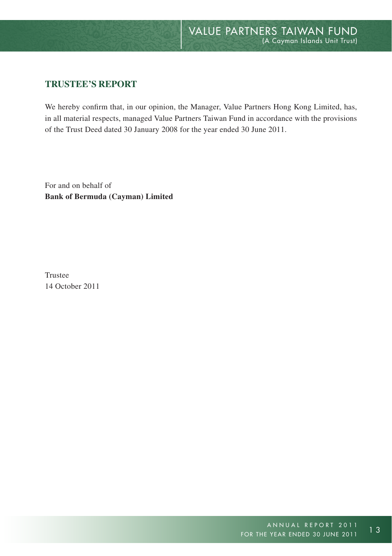## **TRUSTEE'S REPORT**

We hereby confirm that, in our opinion, the Manager, Value Partners Hong Kong Limited, has, in all material respects, managed Value Partners Taiwan Fund in accordance with the provisions of the Trust Deed dated 30 January 2008 for the year ended 30 June 2011.

For and on behalf of **Bank of Bermuda (Cayman) Limited**

Trustee 14 October 2011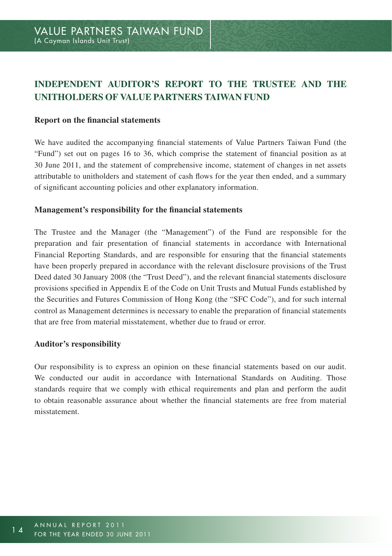# **INDEPENDENT AUDITOR'S REPORT TO THE TRUSTEE AND THE UNITHOLDERS OF VALUE PARTNERS TAIWAN FUND**

#### **Report on the financial statements**

We have audited the accompanying financial statements of Value Partners Taiwan Fund (the "Fund") set out on pages 16 to 36, which comprise the statement of financial position as at 30 June 2011, and the statement of comprehensive income, statement of changes in net assets attributable to unitholders and statement of cash flows for the year then ended, and a summary of significant accounting policies and other explanatory information.

#### **Management's responsibility for the financial statements**

The Trustee and the Manager (the "Management") of the Fund are responsible for the preparation and fair presentation of financial statements in accordance with International Financial Reporting Standards, and are responsible for ensuring that the financial statements have been properly prepared in accordance with the relevant disclosure provisions of the Trust Deed dated 30 January 2008 (the "Trust Deed"), and the relevant financial statements disclosure provisions specified in Appendix E of the Code on Unit Trusts and Mutual Funds established by the Securities and Futures Commission of Hong Kong (the "SFC Code"), and for such internal control as Management determines is necessary to enable the preparation of financial statements that are free from material misstatement, whether due to fraud or error.

#### **Auditor's responsibility**

Our responsibility is to express an opinion on these financial statements based on our audit. We conducted our audit in accordance with International Standards on Auditing. Those standards require that we comply with ethical requirements and plan and perform the audit to obtain reasonable assurance about whether the financial statements are free from material misstatement.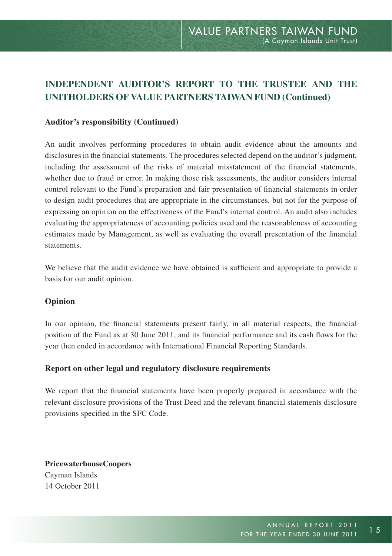# **INDEPENDENT AUDITOR'S REPORT TO THE TRUSTEE AND THE UNITHOLDERS OF VALUE PARTNERS TAIWAN FUND (Continued)**

#### **Auditor's responsibility (Continued)**

An audit involves performing procedures to obtain audit evidence about the amounts and disclosures in the financial statements. The procedures selected depend on the auditor's judgment, including the assessment of the risks of material misstatement of the financial statements, whether due to fraud or error. In making those risk assessments, the auditor considers internal control relevant to the Fund's preparation and fair presentation of financial statements in order to design audit procedures that are appropriate in the circumstances, but not for the purpose of expressing an opinion on the effectiveness of the Fund's internal control. An audit also includes evaluating the appropriateness of accounting policies used and the reasonableness of accounting estimates made by Management, as well as evaluating the overall presentation of the financial statements.

We believe that the audit evidence we have obtained is sufficient and appropriate to provide a basis for our audit opinion.

#### **Opinion**

In our opinion, the financial statements present fairly, in all material respects, the financial position of the Fund as at 30 June 2011, and its financial performance and its cash flows for the year then ended in accordance with International Financial Reporting Standards.

#### **Report on other legal and regulatory disclosure requirements**

We report that the financial statements have been properly prepared in accordance with the relevant disclosure provisions of the Trust Deed and the relevant financial statements disclosure provisions specified in the SFC Code.

**PricewaterhouseCoopers** Cayman Islands 14 October 2011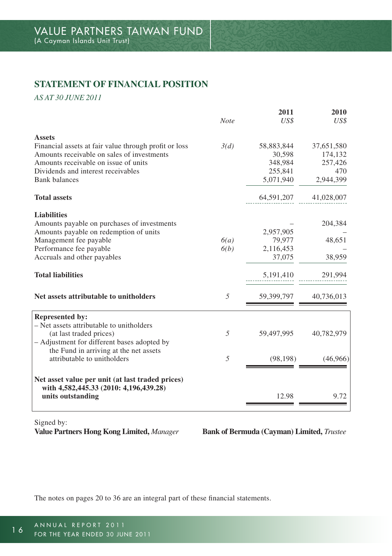## **STATEMENT OF FINANCIAL POSITION**

*AS AT 30 JUNE 2011*

|                                                       |             | 2011       | 2010       |
|-------------------------------------------------------|-------------|------------|------------|
|                                                       | <b>Note</b> | US\$       | US\$       |
| <b>Assets</b>                                         |             |            |            |
| Financial assets at fair value through profit or loss | 3(d)        | 58,883,844 | 37,651,580 |
| Amounts receivable on sales of investments            |             | 30,598     | 174,132    |
| Amounts receivable on issue of units                  |             | 348,984    | 257,426    |
| Dividends and interest receivables                    |             | 255,841    | 470        |
| <b>Bank</b> balances                                  |             | 5,071,940  | 2,944,399  |
| <b>Total assets</b>                                   |             | 64,591,207 | 41,028,007 |
| <b>Liabilities</b>                                    |             |            |            |
| Amounts payable on purchases of investments           |             |            | 204,384    |
| Amounts payable on redemption of units                |             | 2,957,905  |            |
| Management fee payable                                | 6(a)        | 79,977     | 48,651     |
| Performance fee payable                               | 6(b)        | 2,116,453  |            |
| Accruals and other payables                           |             | 37,075     | 38,959     |
| <b>Total liabilities</b>                              |             | 5,191,410  | 291,994    |
| Net assets attributable to unitholders                | 5           | 59,399,797 | 40,736,013 |
| <b>Represented by:</b>                                |             |            |            |
| - Net assets attributable to unitholders              |             |            |            |
| (at last traded prices)                               | 5           | 59,497,995 | 40,782,979 |
| - Adjustment for different bases adopted by           |             |            |            |
| the Fund in arriving at the net assets                |             |            |            |
| attributable to unitholders                           | 5           | (98, 198)  | (46,966)   |
| Net asset value per unit (at last traded prices)      |             |            |            |
| with 4,582,445.33 (2010: 4,196,439.28)                |             |            |            |
| units outstanding                                     |             | 12.98      | 9.72       |
|                                                       |             |            |            |

Signed by:

**Value Partners Hong Kong Limited,** *Manager* **Bank of Bermuda (Cayman) Limited,** *Trustee*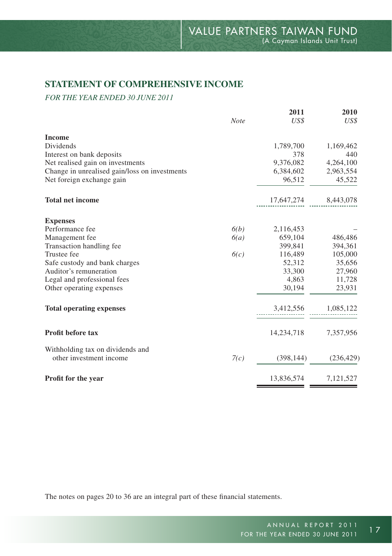## **STATEMENT OF COMPREHENSIVE INCOME**

*FOR THE YEAR ENDED 30 JUNE 2011*

| <b>Note</b> | 2011<br>US\$ | 2010<br>US\$                                         |
|-------------|--------------|------------------------------------------------------|
|             |              |                                                      |
|             |              |                                                      |
|             |              | 1,169,462<br>440                                     |
|             |              | 4,264,100                                            |
|             |              | 2,963,554                                            |
|             |              | 45,522                                               |
|             |              |                                                      |
|             | 17,647,274   | 8,443,078                                            |
|             |              |                                                      |
| 6(b)        | 2,116,453    |                                                      |
| 6(a)        | 659,104      | 486,486                                              |
|             | 399,841      | 394,361                                              |
| 6(c)        | 116,489      | 105,000                                              |
|             | 52,312       | 35,656                                               |
|             | 33,300       | 27,960                                               |
|             | 4,863        | 11,728                                               |
|             | 30,194       | 23,931                                               |
|             | 3,412,556    | 1,085,122                                            |
|             |              |                                                      |
|             | 14,234,718   | 7,357,956                                            |
|             |              |                                                      |
| 7(c)        | (398, 144)   | (236, 429)                                           |
|             | 13,836,574   | 7,121,527                                            |
|             |              | 1,789,700<br>378<br>9,376,082<br>6,384,602<br>96,512 |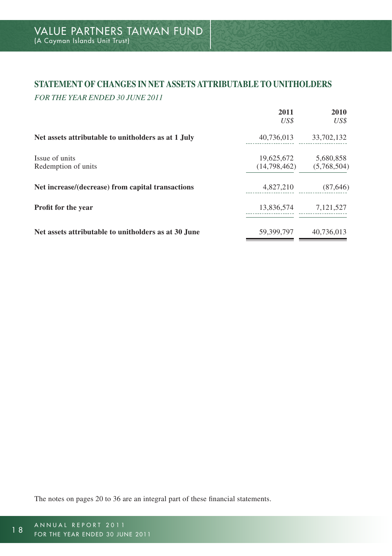## **STATEMENT OF CHANGES IN NET ASSETS ATTRIBUTABLE TO UNITHOLDERS**

*FOR THE YEAR ENDED 30 JUNE 2011*

|                                                      | 2011<br>US\$               | 2010<br>US\$             |
|------------------------------------------------------|----------------------------|--------------------------|
| Net assets attributable to unitholders as at 1 July  | 40,736,013                 | 33,702,132               |
| Issue of units<br>Redemption of units                | 19.625.672<br>(14,798,462) | 5,680,858<br>(5,768,504) |
| Net increase/(decrease) from capital transactions    | 4,827,210                  | (87, 646)                |
| Profit for the year                                  | 13.836.574                 | 7,121,527                |
| Net assets attributable to unitholders as at 30 June | 59.399.797                 | 40.736.013               |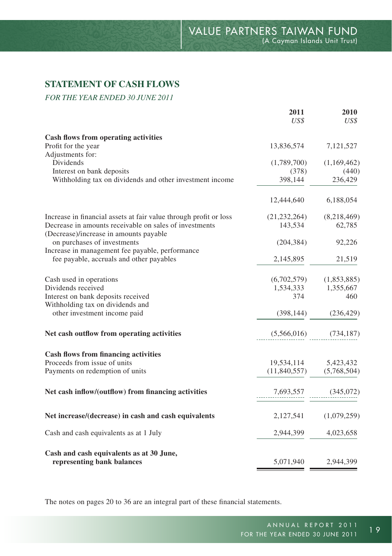## **STATEMENT OF CASH FLOWS**

*FOR THE YEAR ENDED 30 JUNE 2011*

|                                                                                                  | US\$             | US\$             |
|--------------------------------------------------------------------------------------------------|------------------|------------------|
| Cash flows from operating activities                                                             |                  |                  |
| Profit for the year                                                                              | 13,836,574       | 7,121,527        |
| Adjustments for:                                                                                 |                  |                  |
| Dividends                                                                                        | (1,789,700)      | (1,169,462)      |
| Interest on bank deposits<br>Withholding tax on dividends and other investment income            | (378)<br>398,144 | (440)<br>236,429 |
|                                                                                                  |                  |                  |
|                                                                                                  | 12,444,640       | 6,188,054        |
| Increase in financial assets at fair value through profit or loss                                | (21, 232, 264)   | (8,218,469)      |
| Decrease in amounts receivable on sales of investments<br>(Decrease)/increase in amounts payable | 143,534          | 62,785           |
| on purchases of investments                                                                      | (204, 384)       | 92,226           |
| Increase in management fee payable, performance                                                  |                  |                  |
| fee payable, accruals and other payables                                                         | 2,145,895        | 21,519           |
| Cash used in operations                                                                          | (6,702,579)      | (1,853,885)      |
| Dividends received                                                                               | 1,534,333        | 1,355,667        |
| Interest on bank deposits received                                                               | 374              | 460              |
| Withholding tax on dividends and                                                                 |                  |                  |
| other investment income paid                                                                     | (398, 144)       | (236, 429)       |
| Net cash outflow from operating activities                                                       | (5,566,016)      | (734, 187)       |
| <b>Cash flows from financing activities</b>                                                      |                  |                  |
| Proceeds from issue of units                                                                     | 19,534,114       | 5,423,432        |
| Payments on redemption of units                                                                  | (11,840,557)     | (5,768,504)      |
| Net cash inflow/(outflow) from financing activities                                              | 7,693,557        | (345,072)        |
| Net increase/(decrease) in cash and cash equivalents                                             | 2,127,541        | (1,079,259)      |
| Cash and cash equivalents as at 1 July                                                           | 2,944,399        | 4,023,658        |
| Cash and cash equivalents as at 30 June,                                                         |                  |                  |
| representing bank balances                                                                       | 5,071,940        | 2,944,399        |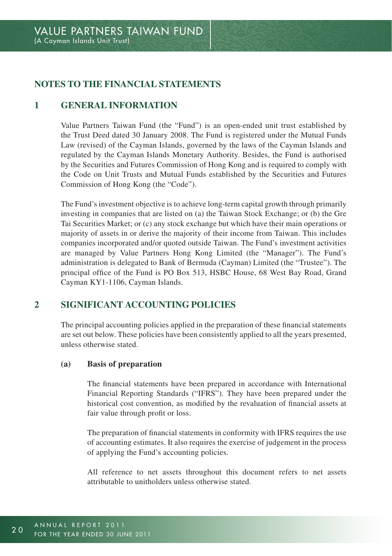## **NOTES TO THE FINANCIAL STATEMENTS**

## **1 General information**

Value Partners Taiwan Fund (the "Fund") is an open-ended unit trust established by the Trust Deed dated 30 January 2008. The Fund is registered under the Mutual Funds Law (revised) of the Cayman Islands, governed by the laws of the Cayman Islands and regulated by the Cayman Islands Monetary Authority. Besides, the Fund is authorised by the Securities and Futures Commission of Hong Kong and is required to comply with the Code on Unit Trusts and Mutual Funds established by the Securities and Futures Commission of Hong Kong (the "Code").

The Fund's investment objective is to achieve long-term capital growth through primarily investing in companies that are listed on (a) the Taiwan Stock Exchange; or (b) the Gre Tai Securities Market; or (c) any stock exchange but which have their main operations or majority of assets in or derive the majority of their income from Taiwan. This includes companies incorporated and/or quoted outside Taiwan. The Fund's investment activities are managed by Value Partners Hong Kong Limited (the "Manager"). The Fund's administration is delegated to Bank of Bermuda (Cayman) Limited (the "Trustee"). The principal office of the Fund is PO Box 513, HSBC House, 68 West Bay Road, Grand Cayman KY1-1106, Cayman Islands.

## **2 Significant accounting policies**

The principal accounting policies applied in the preparation of these financial statements are set out below. These policies have been consistently applied to all the years presented, unless otherwise stated.

#### **(a) Basis of preparation**

The financial statements have been prepared in accordance with International Financial Reporting Standards ("IFRS"). They have been prepared under the historical cost convention, as modified by the revaluation of financial assets at fair value through profit or loss.

The preparation of financial statements in conformity with IFRS requires the use of accounting estimates. It also requires the exercise of judgement in the process of applying the Fund's accounting policies.

All reference to net assets throughout this document refers to net assets attributable to unitholders unless otherwise stated.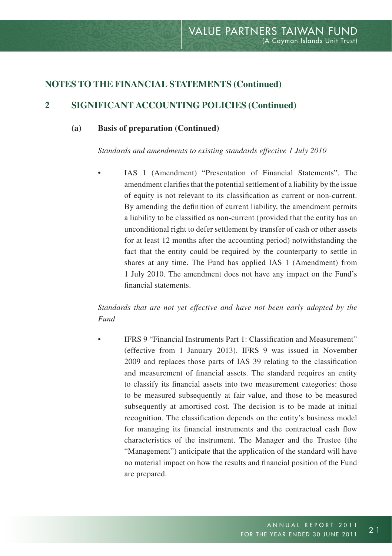## **2 Significant accounting policies (Continued)**

#### **(a) Basis of preparation (Continued)**

*Standards and amendments to existing standards effective 1 July 2010*

IAS 1 (Amendment) "Presentation of Financial Statements". The amendment clarifies that the potential settlement of a liability by the issue of equity is not relevant to its classification as current or non-current. By amending the definition of current liability, the amendment permits a liability to be classified as non-current (provided that the entity has an unconditional right to defer settlement by transfer of cash or other assets for at least 12 months after the accounting period) notwithstanding the fact that the entity could be required by the counterparty to settle in shares at any time. The Fund has applied IAS 1 (Amendment) from 1 July 2010. The amendment does not have any impact on the Fund's financial statements.

*Standards that are not yet effective and have not been early adopted by the Fund*

• IFRS 9 "Financial Instruments Part 1: Classification and Measurement" (effective from 1 January 2013). IFRS 9 was issued in November 2009 and replaces those parts of IAS 39 relating to the classification and measurement of financial assets. The standard requires an entity to classify its financial assets into two measurement categories: those to be measured subsequently at fair value, and those to be measured subsequently at amortised cost. The decision is to be made at initial recognition. The classification depends on the entity's business model for managing its financial instruments and the contractual cash flow characteristics of the instrument. The Manager and the Trustee (the "Management") anticipate that the application of the standard will have no material impact on how the results and financial position of the Fund are prepared.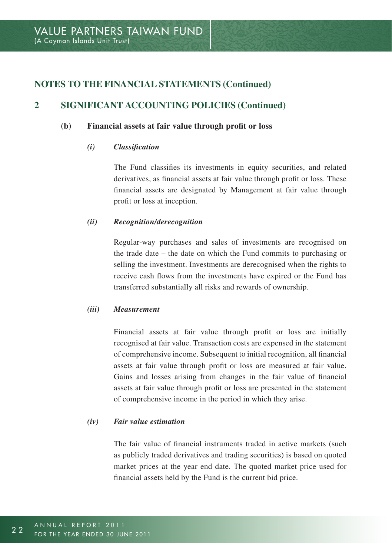## **2 Significant accounting policies (Continued)**

#### **(b) Financial assets at fair value through profit or loss**

#### *(i) Classification*

The Fund classifies its investments in equity securities, and related derivatives, as financial assets at fair value through profit or loss. These financial assets are designated by Management at fair value through profit or loss at inception.

#### *(ii) Recognition/derecognition*

Regular-way purchases and sales of investments are recognised on the trade date – the date on which the Fund commits to purchasing or selling the investment. Investments are derecognised when the rights to receive cash flows from the investments have expired or the Fund has transferred substantially all risks and rewards of ownership.

#### *(iii) Measurement*

Financial assets at fair value through profit or loss are initially recognised at fair value. Transaction costs are expensed in the statement of comprehensive income. Subsequent to initial recognition, all financial assets at fair value through profit or loss are measured at fair value. Gains and losses arising from changes in the fair value of financial assets at fair value through profit or loss are presented in the statement of comprehensive income in the period in which they arise.

#### *(iv) Fair value estimation*

The fair value of financial instruments traded in active markets (such as publicly traded derivatives and trading securities) is based on quoted market prices at the year end date. The quoted market price used for financial assets held by the Fund is the current bid price.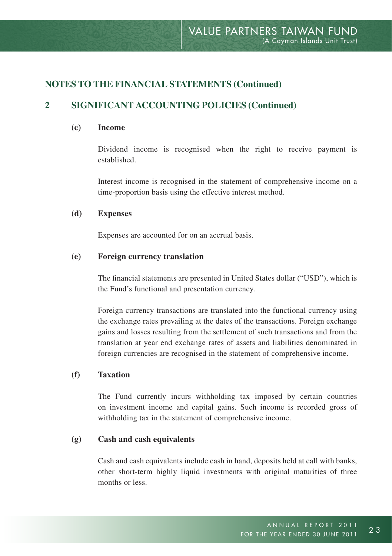## **2 Significant accounting policies (Continued)**

#### **(c) Income**

Dividend income is recognised when the right to receive payment is established.

Interest income is recognised in the statement of comprehensive income on a time-proportion basis using the effective interest method.

#### **(d) Expenses**

Expenses are accounted for on an accrual basis.

#### **(e) Foreign currency translation**

The financial statements are presented in United States dollar ("USD"), which is the Fund's functional and presentation currency.

Foreign currency transactions are translated into the functional currency using the exchange rates prevailing at the dates of the transactions. Foreign exchange gains and losses resulting from the settlement of such transactions and from the translation at year end exchange rates of assets and liabilities denominated in foreign currencies are recognised in the statement of comprehensive income.

## **(f) Taxation**

The Fund currently incurs withholding tax imposed by certain countries on investment income and capital gains. Such income is recorded gross of withholding tax in the statement of comprehensive income.

#### **(g) Cash and cash equivalents**

Cash and cash equivalents include cash in hand, deposits held at call with banks, other short-term highly liquid investments with original maturities of three months or less.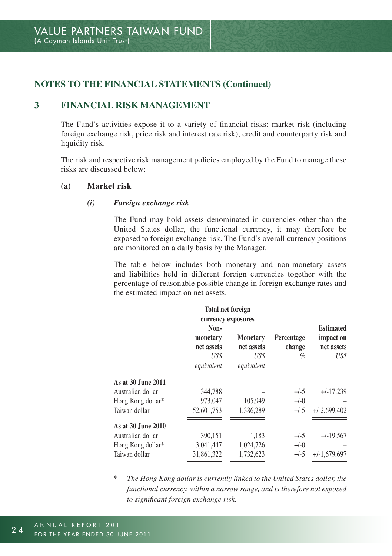## **3 Financial risk management**

The Fund's activities expose it to a variety of financial risks: market risk (including foreign exchange risk, price risk and interest rate risk), credit and counterparty risk and liquidity risk.

The risk and respective risk management policies employed by the Fund to manage these risks are discussed below:

#### **(a) Market risk**

#### *(i) Foreign exchange risk*

The Fund may hold assets denominated in currencies other than the United States dollar, the functional currency, it may therefore be exposed to foreign exchange risk. The Fund's overall currency positions are monitored on a daily basis by the Manager.

The table below includes both monetary and non-monetary assets and liabilities held in different foreign currencies together with the percentage of reasonable possible change in foreign exchange rates and the estimated impact on net assets.

|                    | <b>Total net foreign</b>       |                               |                      |                                             |
|--------------------|--------------------------------|-------------------------------|----------------------|---------------------------------------------|
|                    | currency exposures             |                               |                      |                                             |
|                    | Non-<br>monetary<br>net assets | <b>Monetary</b><br>net assets | Percentage<br>change | <b>Estimated</b><br>impact on<br>net assets |
|                    | US\$<br>equivalent             | US\$<br>equivalent            | $\%$                 | US\$                                        |
| As at 30 June 2011 |                                |                               |                      |                                             |
| Australian dollar  | 344.788                        |                               | $+/-5$               | $+/-17.239$                                 |
| Hong Kong dollar*  | 973,047                        | 105,949                       | $+/-0$               |                                             |
| Taiwan dollar      | 52.601.753                     | 1.386.289                     | $+/-5$               | $+/-2,699,402$                              |
| As at 30 June 2010 |                                |                               |                      |                                             |
| Australian dollar  | 390,151                        | 1,183                         | $+/-5$               | $+/-19,567$                                 |
| Hong Kong dollar*  | 3,041,447                      | 1,024,726                     | $+/-0$               |                                             |
| Taiwan dollar      | 31.861.322                     | 1,732,623                     | $+/-5$               | $+/-1,679,697$                              |

\* *The Hong Kong dollar is currently linked to the United States dollar, the functional currency, within a narrow range, and is therefore not exposed to significant foreign exchange risk.*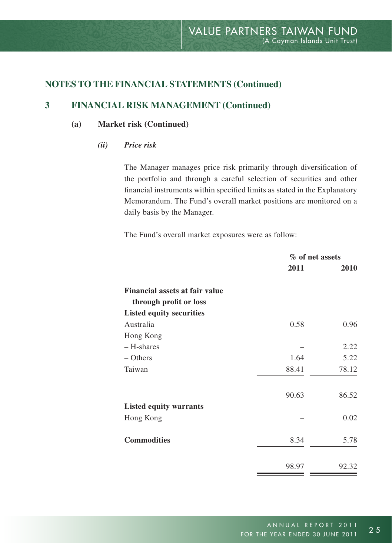## **3 Financial risk management (Continued)**

#### **(a) Market risk (Continued)**

*(ii) Price risk*

The Manager manages price risk primarily through diversification of the portfolio and through a careful selection of securities and other financial instruments within specified limits as stated in the Explanatory Memorandum. The Fund's overall market positions are monitored on a daily basis by the Manager.

The Fund's overall market exposures were as follow:

|                                       | % of net assets |       |
|---------------------------------------|-----------------|-------|
|                                       | 2011            | 2010  |
| <b>Financial assets at fair value</b> |                 |       |
| through profit or loss                |                 |       |
| <b>Listed equity securities</b>       |                 |       |
| Australia                             | 0.58            | 0.96  |
| Hong Kong                             |                 |       |
| - H-shares                            |                 | 2.22  |
| – Others                              | 1.64            | 5.22  |
| Taiwan                                | 88.41           | 78.12 |
|                                       | 90.63           | 86.52 |
| <b>Listed equity warrants</b>         |                 |       |
| Hong Kong                             |                 | 0.02  |
| <b>Commodities</b>                    | 8.34            | 5.78  |
|                                       | 98.97           | 92.32 |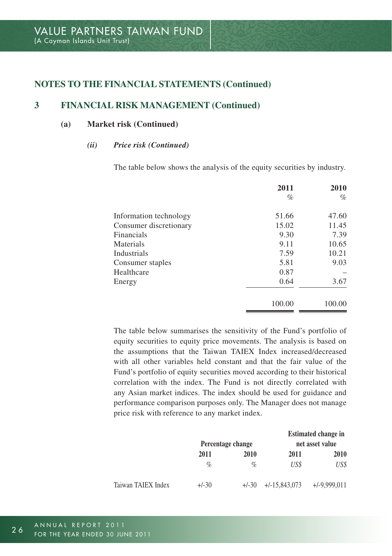## **3 Financial risk management (Continued)**

#### **(a) Market risk (Continued)**

#### *(ii) Price risk (Continued)*

The table below shows the analysis of the equity securities by industry.

|                        | 2011   | 2010   |
|------------------------|--------|--------|
|                        | $\%$   | $\%$   |
| Information technology | 51.66  | 47.60  |
| Consumer discretionary | 15.02  | 11.45  |
| <b>Financials</b>      | 9.30   | 7.39   |
| Materials              | 9.11   | 10.65  |
| Industrials            | 7.59   | 10.21  |
| Consumer staples       | 5.81   | 9.03   |
| Healthcare             | 0.87   |        |
| Energy                 | 0.64   | 3.67   |
|                        | 100.00 | 100.00 |

The table below summarises the sensitivity of the Fund's portfolio of equity securities to equity price movements. The analysis is based on the assumptions that the Taiwan TAIEX Index increased/decreased with all other variables held constant and that the fair value of the Fund's portfolio of equity securities moved according to their historical correlation with the index. The Fund is not directly correlated with any Asian market indices. The index should be used for guidance and performance comparison purposes only. The Manager does not manage price risk with reference to any market index.

|                    | Percentage change |         |                 | <b>Estimated change in</b><br>net asset value |
|--------------------|-------------------|---------|-----------------|-----------------------------------------------|
|                    | 2011              | 2010    | 2011            | 2010                                          |
|                    | $\%$              | $\%$    | US\$            | US\$                                          |
| Taiwan TAIEX Index | $+/-30$           | $+/-30$ | $+/-15.843.073$ | $+/-9.999.011$                                |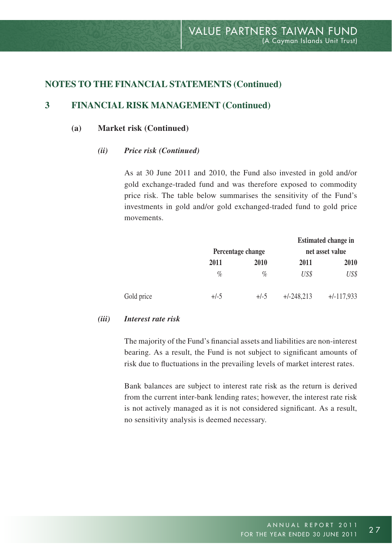## **3 Financial risk management (Continued)**

#### **(a) Market risk (Continued)**

#### *(ii) Price risk (Continued)*

As at 30 June 2011 and 2010, the Fund also invested in gold and/or gold exchange-traded fund and was therefore exposed to commodity price risk. The table below summarises the sensitivity of the Fund's investments in gold and/or gold exchanged-traded fund to gold price movements.

|            |        |                   |              | <b>Estimated change in</b> |
|------------|--------|-------------------|--------------|----------------------------|
|            |        | Percentage change |              | net asset value            |
|            | 2011   | 2010              | 2011         | 2010                       |
|            | $\%$   | $\%$              | US\$         | US\$                       |
| Gold price | $+/-5$ | $+/-5$            | $+/-248.213$ | $+/-117.933$               |

#### *(iii) Interest rate risk*

The majority of the Fund's financial assets and liabilities are non-interest bearing. As a result, the Fund is not subject to significant amounts of risk due to fluctuations in the prevailing levels of market interest rates.

Bank balances are subject to interest rate risk as the return is derived from the current inter-bank lending rates; however, the interest rate risk is not actively managed as it is not considered significant. As a result, no sensitivity analysis is deemed necessary.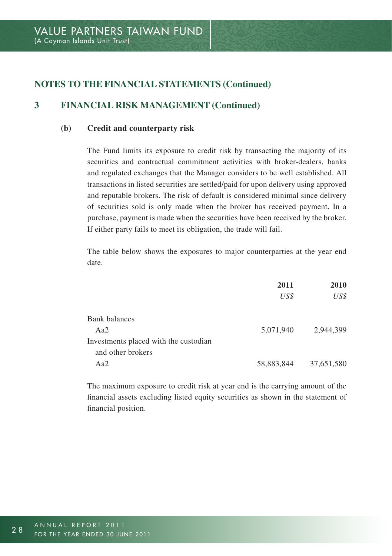## **3 Financial risk management (Continued)**

#### **(b) Credit and counterparty risk**

The Fund limits its exposure to credit risk by transacting the majority of its securities and contractual commitment activities with broker-dealers, banks and regulated exchanges that the Manager considers to be well established. All transactions in listed securities are settled/paid for upon delivery using approved and reputable brokers. The risk of default is considered minimal since delivery of securities sold is only made when the broker has received payment. In a purchase, payment is made when the securities have been received by the broker. If either party fails to meet its obligation, the trade will fail.

The table below shows the exposures to major counterparties at the year end date.

|                                       | 2011       | 2010       |
|---------------------------------------|------------|------------|
|                                       | US\$       | US\$       |
| <b>Bank balances</b>                  |            |            |
| Aa2                                   | 5.071.940  | 2.944.399  |
| Investments placed with the custodian |            |            |
| and other brokers                     |            |            |
| Aa2                                   | 58,883,844 | 37,651,580 |

The maximum exposure to credit risk at year end is the carrying amount of the financial assets excluding listed equity securities as shown in the statement of financial position.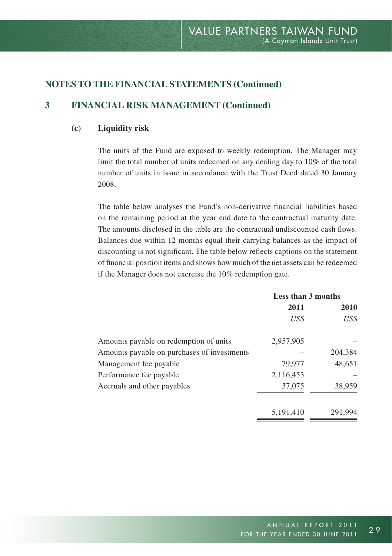## **3 Financial risk management (Continued)**

#### **(c) Liquidity risk**

The units of the Fund are exposed to weekly redemption. The Manager may limit the total number of units redeemed on any dealing day to 10% of the total number of units in issue in accordance with the Trust Deed dated 30 January 2008.

The table below analyses the Fund's non-derivative financial liabilities based on the remaining period at the year end date to the contractual maturity date. The amounts disclosed in the table are the contractual undiscounted cash flows. Balances due within 12 months equal their carrying balances as the impact of discounting is not significant. The table below reflects captions on the statement of financial position items and shows how much of the net assets can be redeemed if the Manager does not exercise the 10% redemption gate.

|                                             | Less than 3 months |         |  |
|---------------------------------------------|--------------------|---------|--|
|                                             | 2011               | 2010    |  |
|                                             | US\$               | US\$    |  |
| Amounts payable on redemption of units      | 2.957.905          |         |  |
| Amounts payable on purchases of investments |                    | 204.384 |  |
| Management fee payable                      | 79,977             | 48.651  |  |
| Performance fee payable                     | 2,116,453          |         |  |
| Accruals and other payables                 | 37,075             | 38,959  |  |
|                                             | 5,191,410          | 291.994 |  |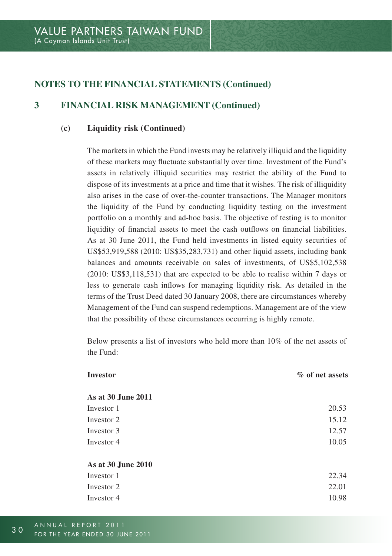## **3 Financial risk management (Continued)**

#### **(c) Liquidity risk (Continued)**

The markets in which the Fund invests may be relatively illiquid and the liquidity of these markets may fluctuate substantially over time. Investment of the Fund's assets in relatively illiquid securities may restrict the ability of the Fund to dispose of its investments at a price and time that it wishes. The risk of illiquidity also arises in the case of over-the-counter transactions. The Manager monitors the liquidity of the Fund by conducting liquidity testing on the investment portfolio on a monthly and ad-hoc basis. The objective of testing is to monitor liquidity of financial assets to meet the cash outflows on financial liabilities. As at 30 June 2011, the Fund held investments in listed equity securities of US\$53,919,588 (2010: US\$35,283,731) and other liquid assets, including bank balances and amounts receivable on sales of investments, of US\$5,102,538 (2010: US\$3,118,531) that are expected to be able to realise within 7 days or less to generate cash inflows for managing liquidity risk. As detailed in the terms of the Trust Deed dated 30 January 2008, there are circumstances whereby Management of the Fund can suspend redemptions. Management are of the view that the possibility of these circumstances occurring is highly remote.

Below presents a list of investors who held more than 10% of the net assets of the Fund:

| Investor           | % of net assets |
|--------------------|-----------------|
| As at 30 June 2011 |                 |
| Investor 1         | 20.53           |
| Investor 2         | 15.12           |
| Investor 3         | 12.57           |
| Investor 4         | 10.05           |
| As at 30 June 2010 |                 |
| Investor 1         | 22.34           |
| Investor 2         | 22.01           |
| Investor 4         | 10.98           |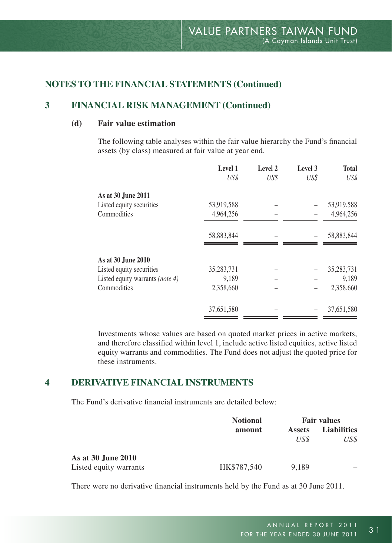## **3 Financial risk management (Continued)**

## **(d) Fair value estimation**

The following table analyses within the fair value hierarchy the Fund's financial assets (by class) measured at fair value at year end.

| Level 1    | Level 2 | Level 3 | <b>Total</b> |
|------------|---------|---------|--------------|
| US\$       | US\$    | US\$    | US\$         |
|            |         |         |              |
| 53,919,588 |         |         | 53,919,588   |
| 4,964,256  |         |         | 4,964,256    |
| 58,883,844 |         |         | 58,883,844   |
|            |         |         |              |
| 35,283,731 |         |         | 35, 283, 731 |
| 9,189      |         |         | 9,189        |
| 2,358,660  |         |         | 2,358,660    |
| 37,651,580 |         |         | 37,651,580   |
|            |         |         |              |

Investments whose values are based on quoted market prices in active markets, and therefore classified within level 1, include active listed equities, active listed equity warrants and commodities. The Fund does not adjust the quoted price for these instruments.

## **4 Derivative financial instruments**

The Fund's derivative financial instruments are detailed below:

|                        | <b>Notional</b> | <b>Fair values</b> |                    |  |
|------------------------|-----------------|--------------------|--------------------|--|
|                        | amount          | <b>Assets</b>      | <b>Liabilities</b> |  |
|                        |                 | US\$               | US\$               |  |
| As at 30 June 2010     |                 |                    |                    |  |
| Listed equity warrants | HK\$787.540     | 9.189              | -                  |  |

There were no derivative financial instruments held by the Fund as at 30 June 2011.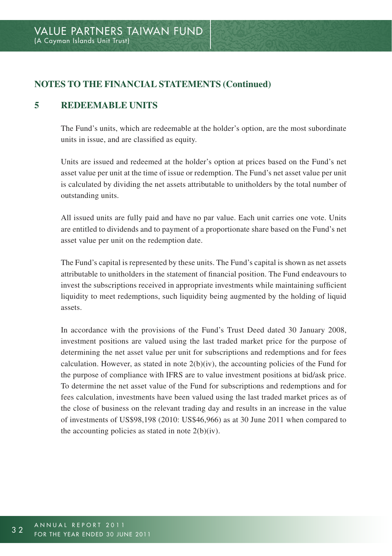## **5 Redeemable units**

The Fund's units, which are redeemable at the holder's option, are the most subordinate units in issue, and are classified as equity.

Units are issued and redeemed at the holder's option at prices based on the Fund's net asset value per unit at the time of issue or redemption. The Fund's net asset value per unit is calculated by dividing the net assets attributable to unitholders by the total number of outstanding units.

All issued units are fully paid and have no par value. Each unit carries one vote. Units are entitled to dividends and to payment of a proportionate share based on the Fund's net asset value per unit on the redemption date.

The Fund's capital is represented by these units. The Fund's capital is shown as net assets attributable to unitholders in the statement of financial position. The Fund endeavours to invest the subscriptions received in appropriate investments while maintaining sufficient liquidity to meet redemptions, such liquidity being augmented by the holding of liquid assets.

In accordance with the provisions of the Fund's Trust Deed dated 30 January 2008, investment positions are valued using the last traded market price for the purpose of determining the net asset value per unit for subscriptions and redemptions and for fees calculation. However, as stated in note  $2(b)(iv)$ , the accounting policies of the Fund for the purpose of compliance with IFRS are to value investment positions at bid/ask price. To determine the net asset value of the Fund for subscriptions and redemptions and for fees calculation, investments have been valued using the last traded market prices as of the close of business on the relevant trading day and results in an increase in the value of investments of US\$98,198 (2010: US\$46,966) as at 30 June 2011 when compared to the accounting policies as stated in note  $2(b)(iv)$ .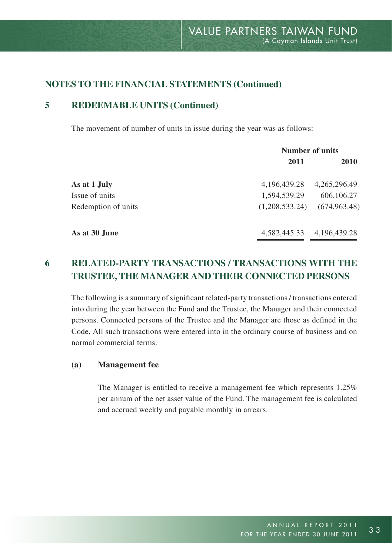## **5 Redeemable units (Continued)**

The movement of number of units in issue during the year was as follows:

| <b>Number of units</b> |               |  |
|------------------------|---------------|--|
| 2011                   | <b>2010</b>   |  |
| 4,196,439.28           | 4,265,296.49  |  |
| 1,594,539.29           | 606,106.27    |  |
| (1,208,533,24)         | (674, 963.48) |  |
| 4,582,445.33           | 4,196,439.28  |  |
|                        |               |  |

# **6 Related-party transactions / transactions with the Trustee, the Manager and their connected persons**

The following is a summary of significant related-party transactions / transactions entered into during the year between the Fund and the Trustee, the Manager and their connected persons. Connected persons of the Trustee and the Manager are those as defined in the Code. All such transactions were entered into in the ordinary course of business and on normal commercial terms.

#### **(a) Management fee**

The Manager is entitled to receive a management fee which represents 1.25% per annum of the net asset value of the Fund. The management fee is calculated and accrued weekly and payable monthly in arrears.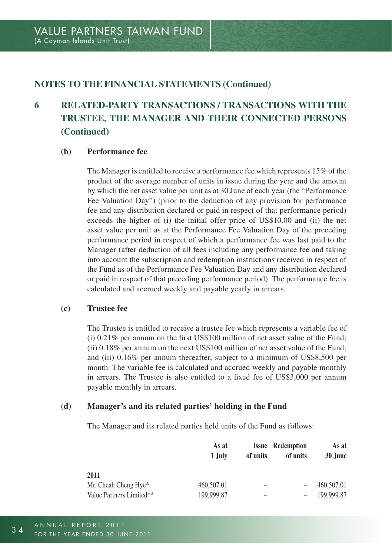# **6 Related-party transactions / transactions with the Trustee, the Manager and their connected persons (Continued)**

#### **(b) Performance fee**

The Manager is entitled to receive a performance fee which represents 15% of the product of the average number of units in issue during the year and the amount by which the net asset value per unit as at 30 June of each year (the "Performance Fee Valuation Day") (prior to the deduction of any provision for performance fee and any distribution declared or paid in respect of that performance period) exceeds the higher of (i) the initial offer price of US\$10.00 and (ii) the net asset value per unit as at the Performance Fee Valuation Day of the preceding performance period in respect of which a performance fee was last paid to the Manager (after deduction of all fees including any performance fee and taking into account the subscription and redemption instructions received in respect of the Fund as of the Performance Fee Valuation Day and any distribution declared or paid in respect of that preceding performance period). The performance fee is calculated and accrued weekly and payable yearly in arrears.

#### **(c) Trustee fee**

The Trustee is entitled to receive a trustee fee which represents a variable fee of (i) 0.21% per annum on the first US\$100 million of net asset value of the Fund; (ii) 0.18% per annum on the next US\$100 million of net asset value of the Fund; and (iii) 0.16% per annum thereafter, subject to a minimum of US\$8,500 per month. The variable fee is calculated and accrued weekly and payable monthly in arrears. The Trustee is also entitled to a fixed fee of US\$3,000 per annum payable monthly in arrears.

#### **(d) Manager's and its related parties' holding in the Fund**

The Manager and its related parties held units of the Fund as follows:

|                          | As at<br>1.July | of units                 | <b>Issue Redemption</b><br>of units | As at<br>30 June |
|--------------------------|-----------------|--------------------------|-------------------------------------|------------------|
| 2011                     |                 |                          |                                     |                  |
| Mr. Cheah Cheng Hye*     | 460,507.01      | -                        |                                     | 460,507.01       |
| Value Partners Limited** | 199,999.87      | $\overline{\phantom{a}}$ |                                     | 199.999.87       |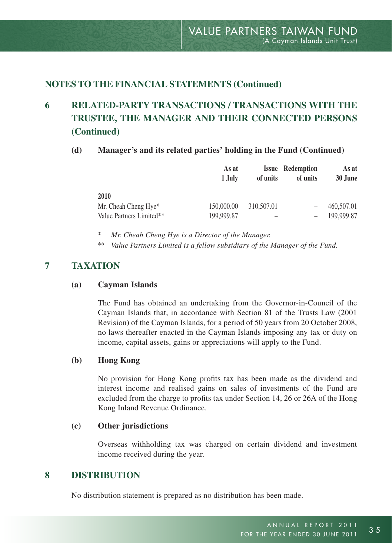# **6 Related-party transactions / transactions with the Trustee, the Manager and their connected persons (Continued)**

#### **(d) Manager's and its related parties' holding in the Fund (Continued)**

|                          | As at<br>1.July | of units   | <b>Issue Redemption</b><br>of units | As at<br>30 June |
|--------------------------|-----------------|------------|-------------------------------------|------------------|
| 2010                     |                 |            |                                     |                  |
| Mr. Cheah Cheng Hye*     | 150,000.00      | 310,507.01 | $\overline{\phantom{0}}$            | 460,507.01       |
| Value Partners Limited** | 199,999.87      | -          | $\overline{\phantom{0}}$            | 199.999.87       |

\* *Mr. Cheah Cheng Hye is a Director of the Manager.*

\*\* *Value Partners Limited is a fellow subsidiary of the Manager of the Fund.*

## **7 Taxation**

#### **(a) Cayman Islands**

The Fund has obtained an undertaking from the Governor-in-Council of the Cayman Islands that, in accordance with Section 81 of the Trusts Law (2001 Revision) of the Cayman Islands, for a period of 50 years from 20 October 2008, no laws thereafter enacted in the Cayman Islands imposing any tax or duty on income, capital assets, gains or appreciations will apply to the Fund.

#### **(b) Hong Kong**

No provision for Hong Kong profits tax has been made as the dividend and interest income and realised gains on sales of investments of the Fund are excluded from the charge to profits tax under Section 14, 26 or 26A of the Hong Kong Inland Revenue Ordinance.

#### **(c) Other jurisdictions**

Overseas withholding tax was charged on certain dividend and investment income received during the year.

#### **8 Distribution**

No distribution statement is prepared as no distribution has been made.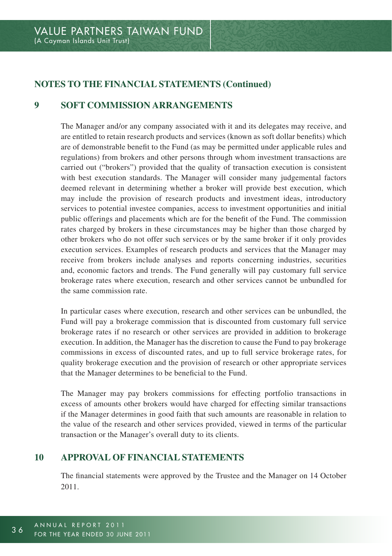## **9 Soft commission arrangements**

The Manager and/or any company associated with it and its delegates may receive, and are entitled to retain research products and services (known as soft dollar benefits) which are of demonstrable benefit to the Fund (as may be permitted under applicable rules and regulations) from brokers and other persons through whom investment transactions are carried out ("brokers") provided that the quality of transaction execution is consistent with best execution standards. The Manager will consider many judgemental factors deemed relevant in determining whether a broker will provide best execution, which may include the provision of research products and investment ideas, introductory services to potential investee companies, access to investment opportunities and initial public offerings and placements which are for the benefit of the Fund. The commission rates charged by brokers in these circumstances may be higher than those charged by other brokers who do not offer such services or by the same broker if it only provides execution services. Examples of research products and services that the Manager may receive from brokers include analyses and reports concerning industries, securities and, economic factors and trends. The Fund generally will pay customary full service brokerage rates where execution, research and other services cannot be unbundled for the same commission rate.

In particular cases where execution, research and other services can be unbundled, the Fund will pay a brokerage commission that is discounted from customary full service brokerage rates if no research or other services are provided in addition to brokerage execution. In addition, the Manager has the discretion to cause the Fund to pay brokerage commissions in excess of discounted rates, and up to full service brokerage rates, for quality brokerage execution and the provision of research or other appropriate services that the Manager determines to be beneficial to the Fund.

The Manager may pay brokers commissions for effecting portfolio transactions in excess of amounts other brokers would have charged for effecting similar transactions if the Manager determines in good faith that such amounts are reasonable in relation to the value of the research and other services provided, viewed in terms of the particular transaction or the Manager's overall duty to its clients.

## **10 Approval of financial statements**

The financial statements were approved by the Trustee and the Manager on 14 October 2011.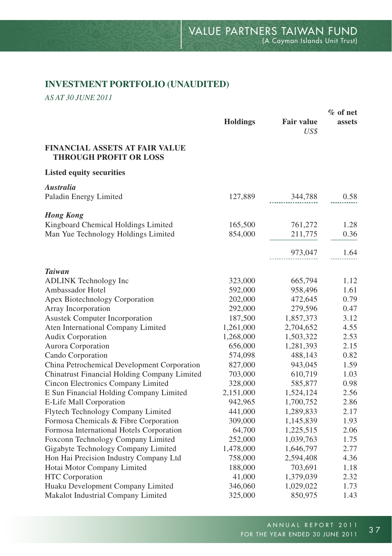## **INVESTMENT PORTFOLIO (UNAUDITED)**

*AS AT 30 JUNE 2011*

|                                                                        |                 |                           | $%$ of net |  |
|------------------------------------------------------------------------|-----------------|---------------------------|------------|--|
|                                                                        | <b>Holdings</b> | <b>Fair value</b><br>US\$ | assets     |  |
| <b>FINANCIAL ASSETS AT FAIR VALUE</b><br><b>THROUGH PROFIT OR LOSS</b> |                 |                           |            |  |
| <b>Listed equity securities</b>                                        |                 |                           |            |  |
| <b>Australia</b>                                                       |                 |                           |            |  |
| Paladin Energy Limited                                                 | 127,889         | 344,788                   | 0.58       |  |
| <b>Hong Kong</b>                                                       |                 |                           |            |  |
| Kingboard Chemical Holdings Limited                                    | 165,500         | 761,272                   | 1.28       |  |
| Man Yue Technology Holdings Limited                                    | 854,000         | 211,775                   | 0.36       |  |
|                                                                        |                 | 973,047                   | 1.64       |  |
| <b>Taiwan</b>                                                          |                 |                           |            |  |
| <b>ADLINK</b> Technology Inc                                           | 323,000         | 665,794                   | 1.12       |  |
| Ambassador Hotel                                                       | 592,000         | 958,496                   | 1.61       |  |
| Apex Biotechnology Corporation                                         | 202,000         | 472,645                   | 0.79       |  |
| Array Incorporation                                                    | 292,000         | 279,596                   | 0.47       |  |
| <b>Asustek Computer Incorporation</b>                                  | 187,500         | 1,857,373                 | 3.12       |  |
| Aten International Company Limited                                     | 1,261,000       | 2,704,652                 | 4.55       |  |
| Audix Corporation                                                      | 1,268,000       | 1,503,322                 | 2.53       |  |
| Aurora Corporation                                                     | 656,000         | 1,281,393                 | 2.15       |  |
| Cando Corporation                                                      | 574,098         | 488,143                   | 0.82       |  |
| China Petrochemical Development Corporation                            | 827,000         | 943,045                   | 1.59       |  |
| Chinatrust Financial Holding Company Limited                           | 703,000         | 610,719                   | 1.03       |  |
| Cincon Electronics Company Limited                                     | 328,000         | 585,877                   | 0.98       |  |
| E Sun Financial Holding Company Limited                                | 2,151,000       | 1,524,124                 | 2.56       |  |
| E-Life Mall Corporation                                                | 942,965         | 1,700,752                 | 2.86       |  |
| Flytech Technology Company Limited                                     | 441,000         | 1,289,833                 | 2.17       |  |
| Formosa Chemicals & Fibre Corporation                                  | 309,000         | 1,145,839                 | 1.93       |  |
| Formosa International Hotels Corporation                               | 64,700          | 1,225,515                 | 2.06       |  |
| Foxconn Technology Company Limited                                     | 252,000         | 1,039,763                 | 1.75       |  |
| Gigabyte Technology Company Limited                                    | 1,478,000       | 1,646,797                 | 2.77       |  |
| Hon Hai Precision Industry Company Ltd                                 | 758,000         | 2,594,408                 | 4.36       |  |
| Hotai Motor Company Limited                                            | 188,000         | 703,691                   | 1.18       |  |
| <b>HTC</b> Corporation                                                 | 41,000          | 1,379,039                 | 2.32       |  |
| Huaku Development Company Limited                                      | 346,060         | 1,029,022                 | 1.73       |  |
| Makalot Industrial Company Limited                                     | 325,000         | 850,975                   | 1.43       |  |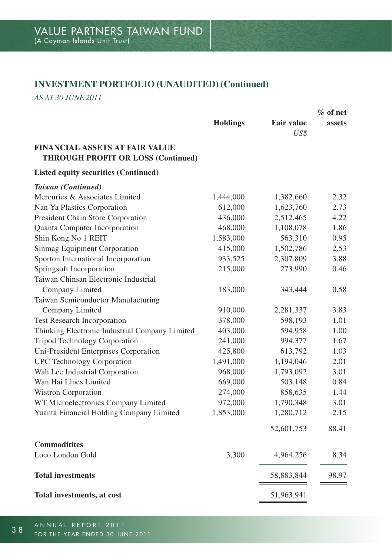# **INVESTMENT PORTFOLIO (UNAUDITED) (Continued)**

*AS AT 30 JUNE 2011*

|                                                                                    | $%$ of net      |                   |        |
|------------------------------------------------------------------------------------|-----------------|-------------------|--------|
|                                                                                    | <b>Holdings</b> | <b>Fair value</b> | assets |
|                                                                                    |                 | US\$              |        |
| <b>FINANCIAL ASSETS AT FAIR VALUE</b><br><b>THROUGH PROFIT OR LOSS (Continued)</b> |                 |                   |        |
| Listed equity securities (Continued)                                               |                 |                   |        |
| Taiwan (Continued)                                                                 |                 |                   |        |
| Mercuries & Associates Limited                                                     | 1,444,000       | 1,382,660         | 2.32   |
| Nan Ya Plastics Corporation                                                        | 612,000         | 1,623,760         | 2.73   |
| President Chain Store Corporation                                                  | 436,000         | 2,512,465         | 4.22   |
| Quanta Computer Incorporation                                                      | 468,000         | 1,108,078         | 1.86   |
| Shin Kong No 1 REIT                                                                | 1,583,000       | 563,310           | 0.95   |
| Sinmag Equipment Corporation                                                       | 415,000         | 1,502,786         | 2.53   |
| Sporton International Incorporation                                                | 933,525         | 2,307,809         | 3.88   |
| Springsoft Incorporation                                                           | 215,000         | 273,990           | 0.46   |
| Taiwan Chinsan Electronic Industrial                                               |                 |                   |        |
| Company Limited                                                                    | 183,000         | 343,444           | 0.58   |
| Taiwan Semiconductor Manufacturing                                                 |                 |                   |        |
| Company Limited                                                                    | 910,000         | 2,281,337         | 3.83   |
| Test Research Incorporation                                                        | 378,000         | 598,193           | 1.01   |
| Thinking Electronic Industrial Company Limited                                     | 403,000         | 594,958           | 1.00   |
| <b>Tripod Technology Corporation</b>                                               | 241,000         | 994,377           | 1.67   |
| Uni-President Enterprises Corporation                                              | 425,800         | 613,792           | 1.03   |
| <b>UPC</b> Technology Corporation                                                  | 1,491,000       | 1,194,046         | 2.01   |
| Wah Lee Industrial Corporation                                                     | 968,000         | 1,793,092         | 3.01   |
| Wan Hai Lines Limited                                                              | 669,000         | 503,148           | 0.84   |
| Wistron Corporation                                                                | 274,000         | 858,635           | 1.44   |
| WT Microelectronics Company Limited                                                | 972,000         | 1,790,348         | 3.01   |
| Yuanta Financial Holding Company Limited                                           | 1,853,000       | 1,280,712         | 2.15   |
|                                                                                    |                 | 52,601,753        | 88.41  |
| <b>Commoditites</b>                                                                |                 |                   |        |
| Loco London Gold                                                                   | 3,300           | 4,964,256         | 8.34   |
| <b>Total investments</b>                                                           |                 | 58,883,844        | 98.97  |
| Total investments, at cost                                                         |                 | 51,963,941        |        |
|                                                                                    |                 |                   |        |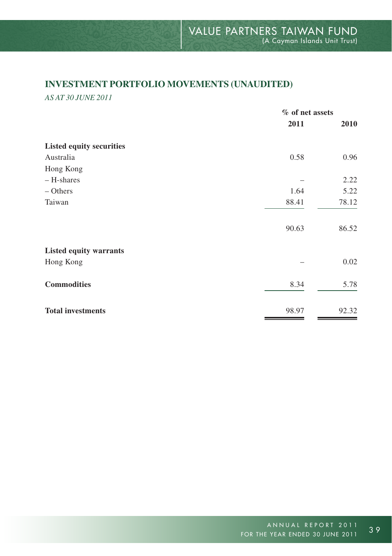## **INVESTMENT PORTFOLIO MOVEMENTS (UNAUDITED)**

*AS AT 30 JUNE 2011*

|                                 | % of net assets |       |  |
|---------------------------------|-----------------|-------|--|
|                                 | 2011            | 2010  |  |
| <b>Listed equity securities</b> |                 |       |  |
| Australia                       | 0.58            | 0.96  |  |
| Hong Kong                       |                 |       |  |
| - H-shares                      |                 | 2.22  |  |
| $-$ Others                      | 1.64            | 5.22  |  |
| Taiwan                          | 88.41           | 78.12 |  |
|                                 | 90.63           | 86.52 |  |
| <b>Listed equity warrants</b>   |                 |       |  |
| Hong Kong                       |                 | 0.02  |  |
| <b>Commodities</b>              | 8.34            | 5.78  |  |
| <b>Total investments</b>        | 98.97           | 92.32 |  |